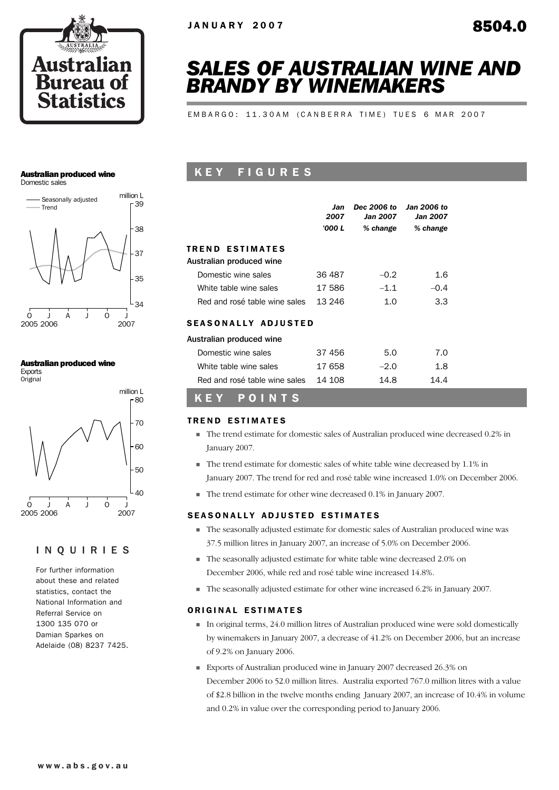

# *SALES OF AUSTRALIAN WINE AND BRANDY BY WINEMAKERS*

EMBARGO: 11.30AM (CANBERRA TIME) TUES 6 MAR 2007

#### Australian produced wine

Domestic sales



#### Australian produced wine

Exports **Original** 



#### INQUIRIES

For further information about these and related statistics, contact the National Information and Referral Service on 1300 135 070 or Damian Sparkes on Adelaide (08) 8237 7425.

# K E Y F I G U R E S

|                                                    | Jan<br>2007<br>'000 L | Dec 2006 to<br>Jan 2007<br>% change | <b>Jan 2006 to</b><br><b>Jan 2007</b><br>% change |
|----------------------------------------------------|-----------------------|-------------------------------------|---------------------------------------------------|
| <b>TREND ESTIMATES</b><br>Australian produced wine |                       |                                     |                                                   |
| Domestic wine sales                                | 36 487                | $-0.2$                              | 1.6                                               |
| White table wine sales                             | 17 586                | $-1.1$                              | $-0.4$                                            |
| Red and rosé table wine sales                      | 13 246                | 1. $\Omega$                         | 3.3                                               |
| <b>SEASONALLY ADJUSTED</b>                         |                       |                                     |                                                   |
| Australian produced wine                           |                       |                                     |                                                   |
| Domestic wine sales                                | 37 456                | 5.0                                 | 7.0                                               |
| White table wine sales                             | 17 658                | $-2.0$                              | 1.8                                               |
| Red and rosé table wine sales                      | 14 108                | 14.8                                | 14.4                                              |
| POINTS<br>KE                                       |                       |                                     |                                                   |

# **TREND ESTIMATES**

- ! The trend estimate for domestic sales of Australian produced wine decreased 0.2% in January 2007.
- ! The trend estimate for domestic sales of white table wine decreased by 1.1% in January 2007. The trend for red and rosé table wine increased 1.0% on December 2006.
- ! The trend estimate for other wine decreased 0.1% in January 2007.

#### SEASONALLY ADJUSTED ESTIMATES

- ! The seasonally adjusted estimate for domestic sales of Australian produced wine was 37.5 million litres in January 2007, an increase of 5.0% on December 2006.
- ! The seasonally adjusted estimate for white table wine decreased 2.0% on December 2006, while red and rosé table wine increased 14.8%.
- ! The seasonally adjusted estimate for other wine increased 6.2% in January 2007.

#### ORIGINAL ESTIMATES

- ! In original terms, 24.0 million litres of Australian produced wine were sold domestically by winemakers in January 2007, a decrease of 41.2% on December 2006, but an increase of 9.2% on January 2006.
- ! Exports of Australian produced wine in January 2007 decreased 26.3% on December 2006 to 52.0 million litres. Australia exported 767.0 million litres with a value of \$2.8 billion in the twelve months ending January 2007, an increase of 10.4% in volume and 0.2% in value over the corresponding period to January 2006.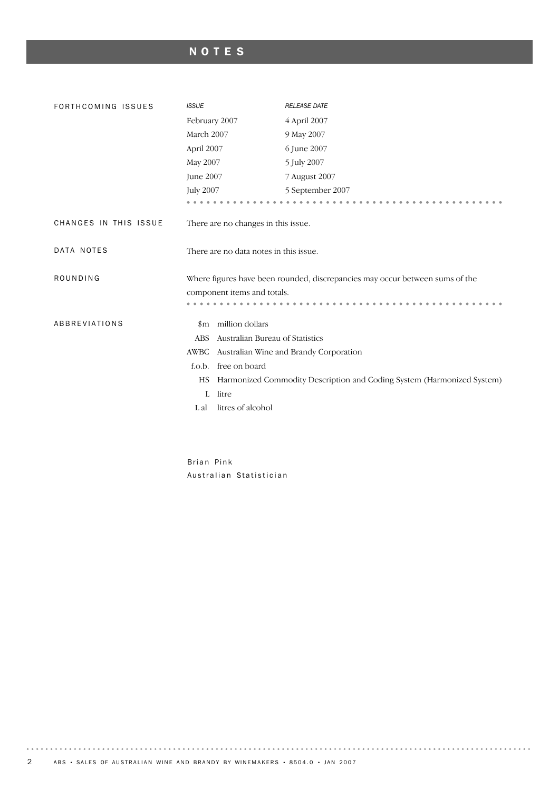# NOTES

| FORTHCOMING ISSUES    | <b>ISSUE</b>                                  | <b>RELEASE DATE</b>                                                          |
|-----------------------|-----------------------------------------------|------------------------------------------------------------------------------|
|                       | February 2007                                 | 4 April 2007                                                                 |
|                       | March 2007                                    | 9 May 2007                                                                   |
|                       | April 2007                                    | 6 June 2007                                                                  |
|                       | May 2007                                      | 5 July 2007                                                                  |
|                       | June 2007                                     | 7 August 2007                                                                |
|                       | <b>July 2007</b>                              | 5 September 2007                                                             |
|                       |                                               |                                                                              |
| CHANGES IN THIS ISSUE | There are no changes in this issue.           |                                                                              |
| DATA NOTES            | There are no data notes in this issue.        |                                                                              |
| ROUNDING              |                                               | Where figures have been rounded, discrepancies may occur between sums of the |
|                       | component items and totals.                   |                                                                              |
|                       |                                               |                                                                              |
| ABBREVIATIONS         | million dollars<br>$_{\rm sm}$                |                                                                              |
|                       | Australian Bureau of Statistics<br><b>ABS</b> |                                                                              |
|                       | AWBC                                          | Australian Wine and Brandy Corporation                                       |
|                       | free on board<br>f.o.b.                       |                                                                              |
|                       | HS                                            | Harmonized Commodity Description and Coding System (Harmonized System)       |
|                       | litre<br>L                                    |                                                                              |
|                       | litres of alcohol<br>L al                     |                                                                              |

Brian Pink Australian Statistician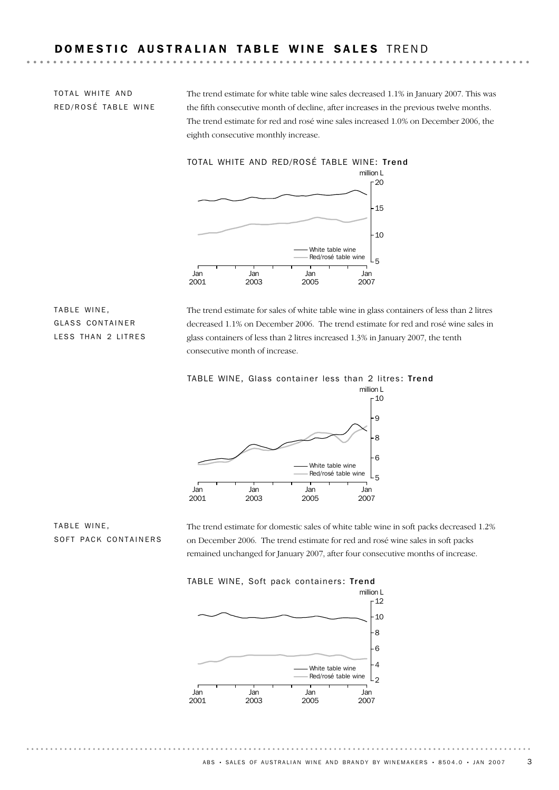# DOMESTIC AUSTRALIAN TABLE WINE SALES TREND

TOTAL WHITE AND RED/ROSÉ TABLE WINE The trend estimate for white table wine sales decreased 1.1% in January 2007. This was the fifth consecutive month of decline, after increases in the previous twelve months. The trend estimate for red and rosé wine sales increased 1.0% on December 2006, the eighth consecutive monthly increase.



TABLE WINE, GLASS CONTAINER LESS THAN 2 LITRES

The trend estimate for sales of white table wine in glass containers of less than 2 litres decreased 1.1% on December 2006. The trend estimate for red and rosé wine sales in glass containers of less than 2 litres increased 1.3% in January 2007, the tenth consecutive month of increase.



TABLE WINE, SOFT PACK CONTAINERS The trend estimate for domestic sales of white table wine in soft packs decreased 1.2% on December 2006. The trend estimate for red and rosé wine sales in soft packs remained unchanged for January 2007, after four consecutive months of increase.



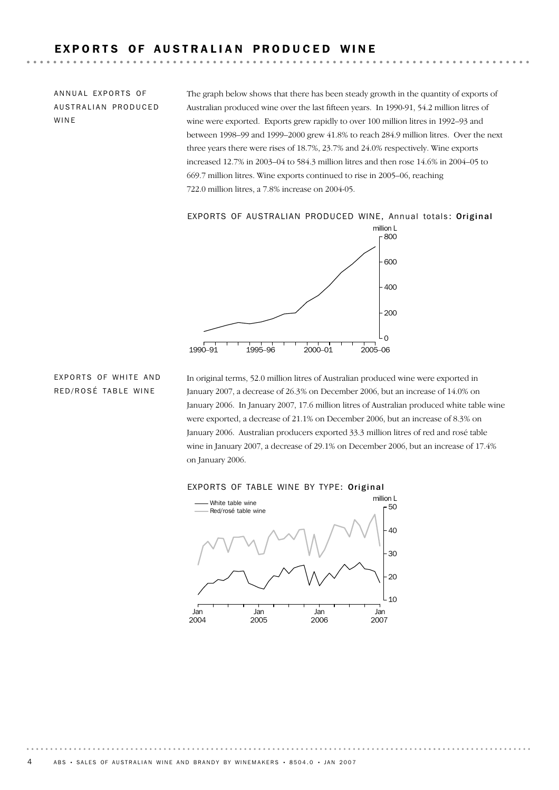# EXPORTS OF AUSTRALIAN PRODUCED WINE

ANNUAL EXPORTS OF AUSTRALIAN PRODUCED WINE

The graph below shows that there has been steady growth in the quantity of exports of Australian produced wine over the last fifteen years. In 1990-91, 54.2 million litres of wine were exported. Exports grew rapidly to over 100 million litres in 1992–93 and between 1998–99 and 1999–2000 grew 41.8% to reach 284.9 million litres. Over the next three years there were rises of 18.7%, 23.7% and 24.0% respectively. Wine exports increased 12.7% in 2003–04 to 584.3 million litres and then rose 14.6% in 2004–05 to 669.7 million litres. Wine exports continued to rise in 2005–06, reaching 722.0 million litres, a 7.8% increase on 2004-05.

#### EXPORTS OF AUSTRALIAN PRODUCED WINE, Annual totals: Original



#### **EXPORTS OF WHITE AND** RED/ROSÉ TABLE WINE

In original terms, 52.0 million litres of Australian produced wine were exported in January 2007, a decrease of 26.3% on December 2006, but an increase of 14.0% on January 2006. In January 2007, 17.6 million litres of Australian produced white table wine were exported, a decrease of 21.1% on December 2006, but an increase of 8.3% on January 2006. Australian producers exported 33.3 million litres of red and rosé table wine in January 2007, a decrease of 29.1% on December 2006, but an increase of 17.4% on January 2006.



#### EXPORTS OF TABLE WINE BY TYPE: Original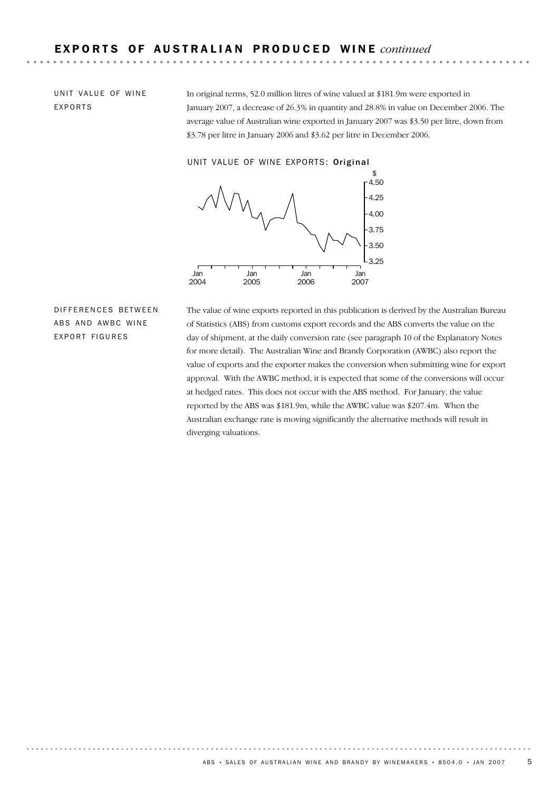UNIT VALUE OF WINE EXPORTS

In original terms, 52.0 million litres of wine valued at \$181.9m were exported in January 2007, a decrease of 26.3% in quantity and 28.8% in value on December 2006. The average value of Australian wine exported in January 2007 was \$3.50 per litre, down from \$3.78 per litre in January 2006 and \$3.62 per litre in December 2006.

UNIT VALUE OF WINE EXPORTS: Original



DIFFERENCES BETWEEN ABS AND AWBC WINE EXPORT FIGURES

The value of wine exports reported in this publication is derived by the Australian Bureau of Statistics (ABS) from customs export records and the ABS converts the value on the day of shipment, at the daily conversion rate (see paragraph 10 of the Explanatory Notes for more detail). The Australian Wine and Brandy Corporation (AWBC) also report the value of exports and the exporter makes the conversion when submitting wine for export approval. With the AWBC method, it is expected that some of the conversions will occur at hedged rates. This does not occur with the ABS method. For January, the value reported by the ABS was \$181.9m, while the AWBC value was \$207.4m. When the Australian exchange rate is moving significantly the alternative methods will result in diverging valuations.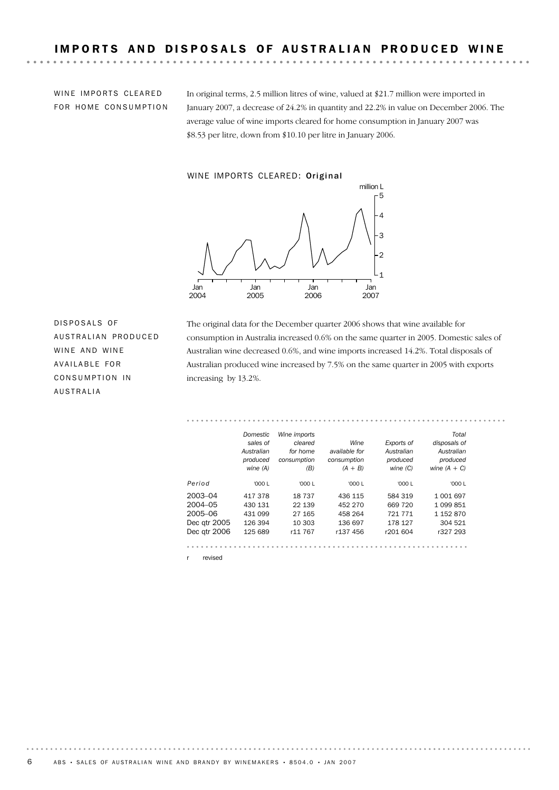WINE IMPORTS CLEARED FOR HOME CONSUMPTION

In original terms, 2.5 million litres of wine, valued at \$21.7 million were imported in January 2007, a decrease of 24.2% in quantity and 22.2% in value on December 2006. The average value of wine imports cleared for home consumption in January 2007 was \$8.53 per litre, down from \$10.10 per litre in January 2006.

#### WINE IMPORTS CLEARED: Original



DISPOSALS OF AUSTRALIAN PRODUCED WINE AND WINE AVAILABLE FOR CONSUMPTION IN AUSTRALIA

The original data for the December quarter 2006 shows that wine available for consumption in Australia increased 0.6% on the same quarter in 2005. Domestic sales of Australian wine decreased 0.6%, and wine imports increased 14.2%. Total disposals of Australian produced wine increased by 7.5% on the same quarter in 2005 with exports increasing by 13.2%.

|              | Domestic   | Wine imports |                      |            | Total          |
|--------------|------------|--------------|----------------------|------------|----------------|
|              | sales of   | cleared      | Wine                 | Exports of | disposals of   |
|              | Australian | for home     | available for        | Australian | Australian     |
|              | produced   | consumption  | consumption          | produced   | produced       |
|              | wine (A)   | (B)          | $(A + B)$            | wine $(C)$ | wine $(A + C)$ |
| Period       | '000 $L$   | '000 L       | '000 L               | '000 $L$   | '000 L         |
| 2003-04      | 417378     | 18737        | 436 115              | 584 319    | 1 001 697      |
| $2004 - 05$  | 430 131    | 22 139       | 452 270              | 669 720    | 1 099 851      |
| 2005-06      | 431 099    | 27 165       | 458 264              | 721 771    | 1 152 870      |
| Dec qtr 2005 | 126 394    | 10 303       | 136 697              | 178 127    | 304 521        |
| Dec qtr 2006 | 125 689    | r11 767      | r <sub>137</sub> 456 | r201 604   | r327 293       |
|              |            |              |                      |            |                |
|              |            |              |                      |            |                |

revised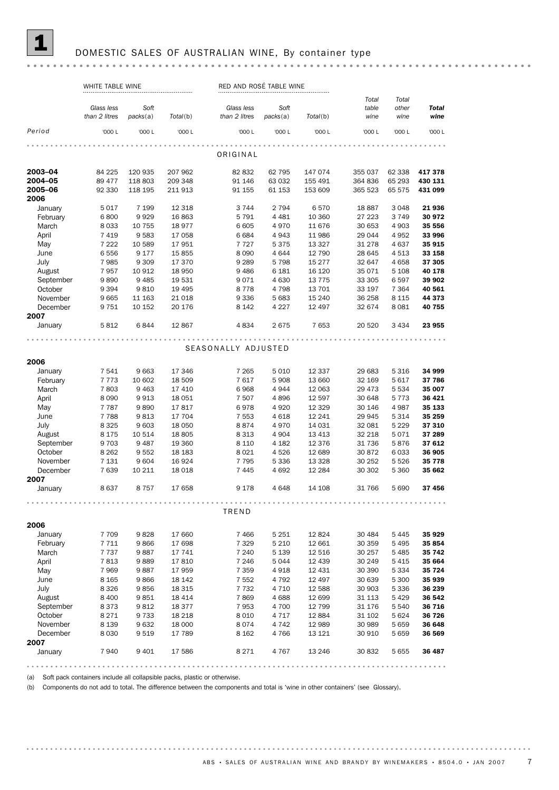

#### DOMESTIC SALES OF AUSTRALIAN WINE, By container type

#### WHITE TABLE WINE **RED AND ROSÉ TABLE WINE** *Total Total Glass less Soft Glass less Soft table other Total wine wine wine packs*(a) *than 2 litres Total*(b) *packs*(a) *Total*(b) *than 2 litres* '000 L '000 L '000 L '000 L '000 L '000 L '000 L '000 L '000 L *Period* ORIGINAL 2003–04 84 225 120 935 207 962 82 832 62 795 147 074 355 037 62 338 417 378 2004–05 89 477 118 803 209 348 91 146 63 032 155 491 364 836 65 293 430 131 **2005–06** 92 330 118 195 211 913 91 155 61 153 153 609 365 523 65 575 431 099 2006 January 5 017 7 199 12 318 3 744 2 794 6 570 18 887 3 048 **21 936** February 6 800 9 929 16 863 5 791 4 481 10 360 27 223 3 749 30 972 March 8 033 10 755 18 977 6 605 4 970 11 676 30 653 4 903 **35 556** April 7 419 9 583 17 058 6 684 4 943 11 986 29 044 4 952 **33 996** May 7 222 10 589 17 951 7 727 5 375 13 327 31 278 4 637 35 915<br>
June 6 556 9 177 15 855 8 090 4 644 12 790 28 645 4 513 33 158 June 6 556 9 177 15 855 8 090 4 644 12 790 28 645 4 513 33 158 July 7 985 9 309 17 370 9 289 5 798 15 277 32 647 4 658 37 305 August 7 957 10 912 18 950 9 486 6 181 16 120 35 071 5 108 40 178 <table>\n<tbody>\n<tr>\n<th>September</th>\n<td>9 890</td>\n<td>9 485</td>\n<td>19 531</td>\n<td>9 071</td>\n<td>4 630</td>\n<td>13 775</td>\n<td>33 305</td>\n<td>6 597</td>\n<td>39 902</td>\n</tr>\n<tr>\n<th>October</th>\n<td>9 394</td>\n<td>9 810</td>\n<td>19 495</td>\n<td>8 778</td>\n<td>4 798</td>\n<td>13 701</td>\n<td>33 197</td>\n<td>7 364</ September 9 890 9 485 19 531 9 071 4 630 13 775 33 305 6 597 39 902 November 9 665 11 163 21 018 9 336 5 683 15 240 December 9 751 10 152 20 176 8 142 4 227 12 497 32 674 8 081 40 755 2007 January 5 812 6 844 12 867 4 834 2 675 7 653 20 520 3 434 23 955 SEASONALLY ADJUSTED 2006 January 7 541 9 663 17 346 7 265 5 010 12 337 29 683 5 316 34 999 March 7 803 9 463 17 410 6 968 4 944 12 063 29 473 5 534 35 007 February 7 773 10 602 18 509 7 617 April 8 090 9 913 18 051 7 507 4 896 12 597 30 648 5 773 36 421 May 7787 9890 17817 6978 4920 12 329 30 146 4 987 **35 133**<br>
June 7788 9 813 17 704 7 553 4 618 12 241 29 945 5 314 **35 259** June 7 788 9 813 17 704 7 553 4 618 12 241 29 945 5 314 **35 259** August 8 175 10 514 18 805 8 313 4 904 13 413 32 218 5 071 37 289 July 8325 9603 18050 8874 4970 14 031 32 081 5229 **37 310** September 9 703 9 487 19 360 8 10 4 182 12 376 376 5876 376 376 376 376 376 12 376 376 12 376 376 12 376 12 37<br>September 9 703 9 487 19 360 8 101 4 182 12 376 31 736 5 876 376 12 0ctober 8 262 9 552 18 183 8 021 4 526 12 689 30 872 6 033 **36 905** November 7 131 9 604 16 924 7 795 5 336 13 328 30 252 5 526 35 778 December 7 639 10 211 18 018 7 445 4 692 12 284 30 302 5 360 35 662 2007 January 8637 8757 17658 9178 4648 14108 31766 5690 37456 TREND 2006 January 7709 9828 17660 7466 5251 12 824 30 484 5 445 35 929 March 7737 9 887 1741 7 240 5 139 12 516 30 404 5 244 36 17 11 9 246 17 698 7 329 5 210 12 661 30 359 5 495 35<br>March 7737 9 887 17 741 7 240 5 139 12 516 30 257 5 485 35 742 February 7 711 9 866 17 698 7 329 5 210 12 661 April 7813 9889 17810 7246 5044 12439 30249 5415 35664 May 7969 9887 17959 7 359 4 918 12 431 30 390 5 334 **35 724**<br>June 8 8 165 9 866 18 142 7 552 4 792 12 497 30 639 5 300 **35 939** June 8 165 9 866 18 142 7 552 4 792 12 497 30 639 5 300 **35 939** July 8 326 9 856 18 315 7 732 4 710 12 588 30 903 5 336 36 239 August 8 400 9 851 18 414 7 869 4 688 12 699 31 113 5 429 **36 542** September 8 373 9 812 18 377 7 953 4 700 12 799 31 176 5540 **36 716** October 8 271 9 733 18 218 8 010 4 717 12 884 31 102 5 624 36 726 November 8 139 9 632 18 000 8 074 4 742 12 989 30 989 5 659 36 648 December 8 030 9 519 17 789 8 162 4 766 13 121 30 910 5 659 36 569 2007 January 7940 9401 17586 8271 4767 13246 30832 5655 36487

(a) Soft pack containers include all collapsible packs, plastic or otherwise.

(b) Components do not add to total. The difference between the components and total is 'wine in other containers' (see Glossary).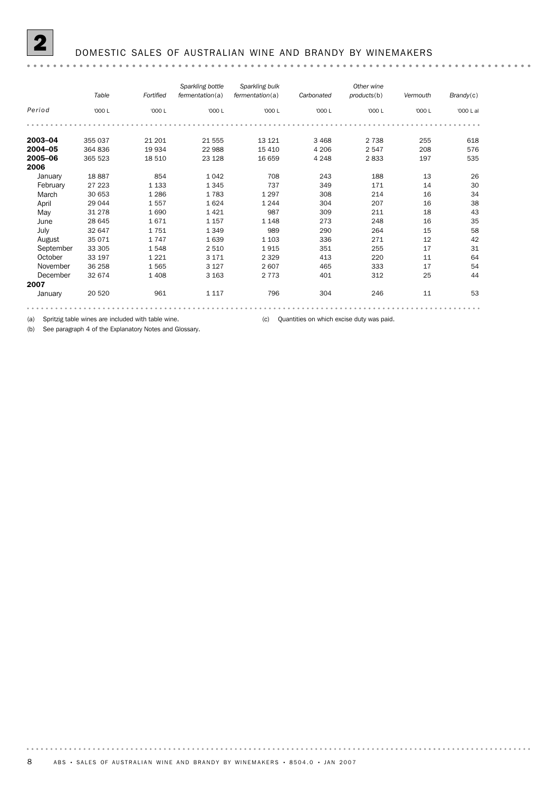

#### 2 DOMESTIC SALES OF AUSTRALIAN WINE AND BRANDY BY WINEMAKERS

|           | Table   | Fortified | Sparkling bottle<br>fermentation(a) | Sparkling bulk<br>fermentation(a) | Carbonated | Other wine<br>products(b) | Vermouth | Brandy(c) |
|-----------|---------|-----------|-------------------------------------|-----------------------------------|------------|---------------------------|----------|-----------|
| Period    | '000 L  | '000 L    | '000 L                              | '000 L                            | '000 L     | '000 L                    | '000 L   | '000 L al |
|           |         |           |                                     |                                   |            |                           |          |           |
| 2003-04   | 355 037 | 21 201    | 21 555                              | 13 121                            | 3 4 6 8    | 2 7 3 8                   | 255      | 618       |
| 2004-05   | 364 836 | 19 934    | 22 988                              | 15 4 10                           | 4 2 0 6    | 2 5 4 7                   | 208      | 576       |
| 2005-06   | 365 523 | 18 510    | 23 1 28                             | 16 659                            | 4 2 4 8    | 2833                      | 197      | 535       |
| 2006      |         |           |                                     |                                   |            |                           |          |           |
| January   | 18887   | 854       | 1042                                | 708                               | 243        | 188                       | 13       | 26        |
| February  | 27 223  | 1 1 3 3   | 1 3 4 5                             | 737                               | 349        | 171                       | 14       | 30        |
| March     | 30 653  | 1 2 8 6   | 1783                                | 1 2 9 7                           | 308        | 214                       | 16       | 34        |
| April     | 29 044  | 1557      | 1624                                | 1 2 4 4                           | 304        | 207                       | 16       | 38        |
| May       | 31 278  | 1690      | 1421                                | 987                               | 309        | 211                       | 18       | 43        |
| June      | 28 645  | 1671      | 1 1 5 7                             | 1 1 4 8                           | 273        | 248                       | 16       | 35        |
| July      | 32 647  | 1751      | 1 3 4 9                             | 989                               | 290        | 264                       | 15       | 58        |
| August    | 35 071  | 1747      | 1639                                | 1 1 0 3                           | 336        | 271                       | 12       | 42        |
| September | 33 305  | 1548      | 2 5 1 0                             | 1915                              | 351        | 255                       | 17       | 31        |
| October   | 33 197  | 1 2 2 1   | 3 1 7 1                             | 2 3 2 9                           | 413        | 220                       | 11       | 64        |
| November  | 36 258  | 1565      | 3 1 2 7                             | 2607                              | 465        | 333                       | 17       | 54        |
| December  | 32 674  | 1 4 0 8   | 3 1 6 3                             | 2 7 7 3                           | 401        | 312                       | 25       | 44        |
| 2007      |         |           |                                     |                                   |            |                           |          |           |
| January   | 20 5 20 | 961       | 1 1 1 7                             | 796                               | 304        | 246                       | 11       | 53        |
|           |         |           |                                     |                                   |            |                           |          |           |

(a) Spritzig table wines are included with table wine. (c) Quantities on which excise duty was paid.

(b) See paragraph 4 of the Explanatory Notes and Glossary.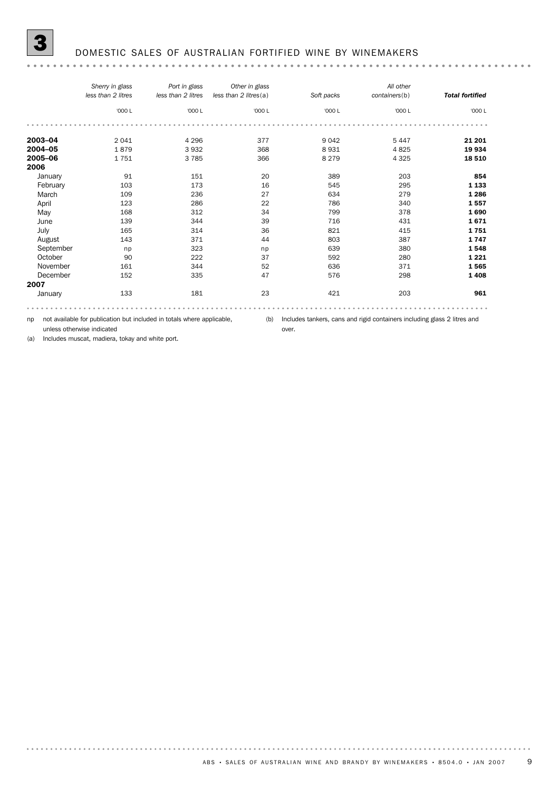#### 3 DOMESTIC SALES OF AUSTRALIAN FORTIFIED WINE BY WINEMAKERS

| '000 L<br>4 2 9 6 | '000 L | '000 L  | '000 L  | '000 L  |
|-------------------|--------|---------|---------|---------|
|                   |        |         |         |         |
|                   |        |         |         |         |
|                   | 377    | 9 0 4 2 | 5 4 4 7 | 21 201  |
| 3932              | 368    | 8931    | 4825    | 19 934  |
| 3785              | 366    | 8 2 7 9 | 4 3 2 5 | 18 510  |
|                   |        |         |         |         |
| 151               | 20     | 389     | 203     | 854     |
| 173               | 16     | 545     | 295     | 1 1 3 3 |
| 236               | 27     | 634     | 279     | 1 2 8 6 |
| 286               | 22     | 786     | 340     | 1557    |
| 312               | 34     | 799     | 378     | 1690    |
| 344               | 39     | 716     | 431     | 1671    |
| 314               | 36     | 821     | 415     | 1751    |
| 371               | 44     | 803     | 387     | 1747    |
| 323               |        | 639     | 380     | 1548    |
| 222               | 37     | 592     | 280     | 1 2 2 1 |
| 344               | 52     | 636     | 371     | 1565    |
| 335               | 47     | 576     | 298     | 1408    |
|                   |        |         |         |         |
| 181               | 23     | 421     | 203     | 961     |
|                   |        | np      |         |         |

np not available for publication but included in totals where applicable,

(b) Includes tankers, cans and rigid containers including glass 2 litres and

unless otherwise indicated (a) Includes muscat, madiera, tokay and white port. over.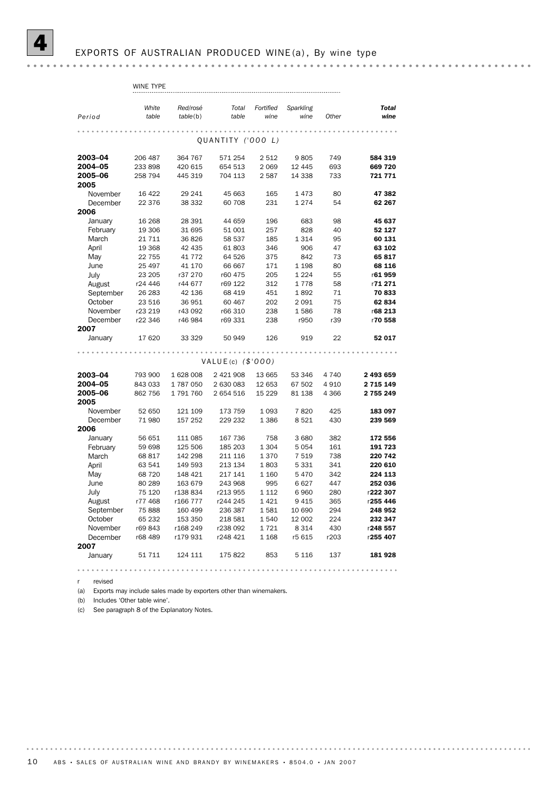|           | WINE TYPE      |                      |                     |                   |                   |         |                      |
|-----------|----------------|----------------------|---------------------|-------------------|-------------------|---------|----------------------|
| Period    | White<br>table | Red/rosé<br>table(b) | Total<br>table      | Fortified<br>wine | Sparkling<br>wine | Other   | <b>Total</b><br>wine |
|           |                |                      |                     |                   |                   |         |                      |
|           |                |                      | QUANTITY ('000 L)   |                   |                   |         |                      |
| 2003-04   | 206 487        | 364 767              | 571 254             | 2 512             | 9805              | 749     | 584 319              |
| 2004-05   | 233 898        | 420 615              | 654 513             | 2 0 6 9           | 12 445            | 693     | 669 720              |
| 2005-06   | 258 794        | 445 319              | 704 113             | 2 5 8 7           | 14 338            | 733     | 721 771              |
| 2005      |                |                      |                     |                   |                   |         |                      |
| November  | 16 4 22        | 29 241               | 45 663              | 165               | 1 473             | 80      | 47 382               |
| December  | 22 376         | 38 332               | 60 708              | 231               | 1 2 7 4           | 54      | 62 267               |
| 2006      |                |                      |                     |                   |                   |         |                      |
| January   | 16 268         | 28 391               | 44 659              | 196               | 683               | 98      | 45 637               |
| February  | 19 306         | 31 695               | 51 001              | 257               | 828               | 40      | 52 127               |
| March     | 21 7 1 1       | 36826                | 58 537              | 185               | 1 3 1 4           | 95      | 60 131               |
| April     | 19 368         | 42 435               | 61803               | 346               | 906               | 47      | 63 102               |
| May       | 22 755         | 41 7 7 2             | 64 526              | 375               | 842               | 73      | 65817                |
| June      | 25 497         | 41 170               | 66 667              | 171               | 1 1 9 8           | 80      | 68 116               |
| July      | 23 205         | r37 270              | r60 475             | 205               | 1 2 2 4           | 55      | r61959               |
| August    | r24 446        | r44 677              | r69 122             | 312               | 1778              | 58      | r71271               |
| September | 26 283         | 42 136               | 68 419              | 451               | 1892              | 71      | 70833                |
| October   | 23 516         | 36 951               | 60 467              | 202               | 2 0 9 1           | 75      | 62 834               |
| November  | r23 219        | r43 092              | r66 310             | 238               | 1586              | 78      | r68 213              |
| December  | r22 346        | r46 984              | r69 331             | 238               | r950              | r39     | r70 558              |
| 2007      |                |                      |                     |                   |                   |         |                      |
| January   | 17 620         | 33 329               | 50 949              | 126               | 919               | 22      | 52 017               |
|           |                |                      |                     |                   |                   |         |                      |
|           |                |                      | VALUE(c) $(\$'000)$ |                   |                   |         |                      |
| 2003-04   | 793 900        | 1628008              | 2 421 908           | 13 665            | 53 346            | 4 740   | 2 493 659            |
| 2004-05   | 843 033        | 1787050              | 2 630 083           | 12 653            | 67 502            | 4910    | 2 715 149            |
| 2005-06   | 862 756        | 1791760              | 2 654 516           | 15 2 29           | 81 138            | 4 3 6 6 | 2 755 249            |
| 2005      |                |                      |                     |                   |                   |         |                      |
| November  | 52 650         | 121 109              | 173 759             | 1 0 9 3           | 7820              | 425     | 183 097              |
| December  | 71 980         | 157 252              | 229 232             | 1 3 8 6           | 8 5 2 1           | 430     | 239 569              |
| 2006      |                |                      |                     |                   |                   |         |                      |
| January   | 56 651         | 111 085              | 167 736             | 758               | 3680              | 382     | 172 556              |
| February  | 59 698         | 125 506              | 185 203             | 1 3 0 4           | 5 054             | 161     | 191 723              |
| March     | 68 817         | 142 298              | 211 116             | 1 3 7 0           | 7 519             | 738     | 220 742              |
| April     | 63 541         | 149 593              | 213 134             | 1803              | 5 3 3 1           | 341     | 220 610              |
| May       | 68720          | 148 421              | 217 141             | 1 1 6 0           | 5470              | 342     | 224 113              |
| June      | 80 289         | 163 679              | 243 968             | 995               | 6627              | 447     | 252 036              |
| July      | 75 120         | r138834              | r213 955            | 1 1 1 2           | 6960              | 280     | r222 307             |
| August    | r77 468        | r166 777             | r244 245            | 1 4 2 1           | 9 4 1 5           | 365     | r255 446             |
| September | 75 888         | 160 499              | 236 387             | 1581              | 10 690            | 294     | 248 952              |
| October   | 65 232         | 153 350              | 218 581             | 1540              | 12 002            | 224     | 232 347              |
| November  | r69 843        | r168 249             | r238 092            | 1721              | 8 3 1 4           | 430     | r248 557             |
| December  | r68 489        | r179 931             | r248 421            | 1 1 6 8           | r5 615            | r203    | r255 407             |
| 2007      |                |                      |                     |                   |                   |         |                      |
| January   | 51 711         | 124 111              | 175 822             | 853               | 5 1 1 6           | 137     | 181928               |
|           |                |                      |                     |                   |                   |         |                      |

r revised

(a) Exports may include sales made by exporters other than winemakers.

(b) Includes 'Other table wine'.

(c) See paragraph 8 of the Explanatory Notes.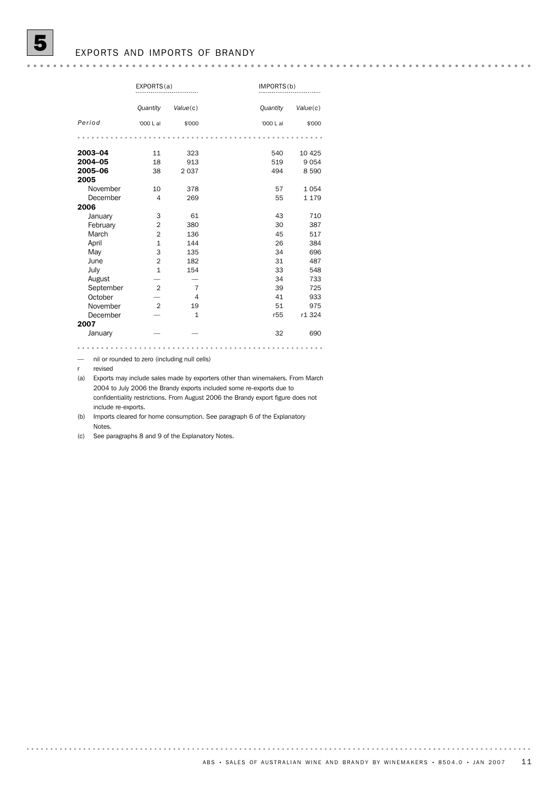### EXPORTS AND IMPORTS OF BRANDY

|           | EXPORTS(a)     |                |                 | IMPORTS(b) |  |  |
|-----------|----------------|----------------|-----------------|------------|--|--|
|           | Quantity       | Value(c)       | <b>Quantity</b> | Value(c)   |  |  |
| Period    | '000 L al      | \$'000         | '000 L al       | \$'000     |  |  |
|           |                |                |                 |            |  |  |
| 2003-04   | 11             | 323            | 540             | 10 4 25    |  |  |
| 2004-05   | 18             | 913            | 519             | 9054       |  |  |
| 2005-06   | 38             | 2037           | 494             | 8590       |  |  |
| 2005      |                |                |                 |            |  |  |
| November  | 10             | 378            | 57              | 1054       |  |  |
| December  | 4              | 269            | 55              | 1 1 7 9    |  |  |
| 2006      |                |                |                 |            |  |  |
| January   | 3              | 61             | 43              | 710        |  |  |
| February  | 2              | 380            | 30              | 387        |  |  |
| March     | $\overline{2}$ | 136            | 45              | 517        |  |  |
| April     | $\mathbf{1}$   | 144            | 26              | 384        |  |  |
| May       | 3              | 135            | 34              | 696        |  |  |
| June      | $\overline{2}$ | 182            | 31              | 487        |  |  |
| July      | $\mathbf{1}$   | 154            | 33              | 548        |  |  |
| August    |                |                | 34              | 733        |  |  |
| September | $\overline{2}$ | 7              | 39              | 725        |  |  |
| October   |                | $\overline{4}$ | 41              | 933        |  |  |
| November  | $\overline{2}$ | 19             | 51              | 975        |  |  |
| December  |                | $\mathbf{1}$   | r55             | r1 324     |  |  |
| 2007      |                |                |                 |            |  |  |
| January   |                |                | 32              | 690        |  |  |

— nil or rounded to zero (including null cells)

r revised

(a) Exports may include sales made by exporters other than winemakers. From March 2004 to July 2006 the Brandy exports included some re-exports due to confidentiality restrictions. From August 2006 the Brandy export figure does not include re-exports.

(b) Imports cleared for home consumption. See paragraph 6 of the Explanatory Notes.

(c) See paragraphs 8 and 9 of the Explanatory Notes.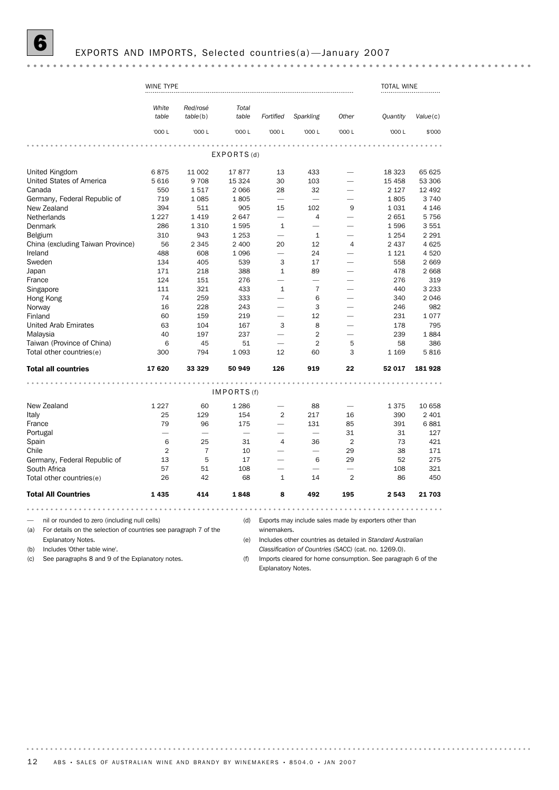|                                                                                                                          | WINE TYPE      |                      |                          |                          |                                                       |                          | <b>TOTAL WINE</b>                                                 |          |
|--------------------------------------------------------------------------------------------------------------------------|----------------|----------------------|--------------------------|--------------------------|-------------------------------------------------------|--------------------------|-------------------------------------------------------------------|----------|
|                                                                                                                          | White<br>table | Red/rosé<br>table(b) | Total<br>table           | Fortified                | Sparkling                                             | Other                    | <b>Quantity</b>                                                   | Value(c) |
|                                                                                                                          | '000 L         | '000 L               | '000 L                   | '000 L                   | '000 L                                                | '000 L                   | '000 L                                                            | \$'000   |
|                                                                                                                          |                |                      | EXPORTS(d)               |                          |                                                       |                          |                                                                   |          |
|                                                                                                                          |                |                      |                          |                          |                                                       |                          |                                                                   |          |
| United Kingdom                                                                                                           | 6875           | 11 002               | 17877                    | 13                       | 433                                                   |                          | 18 3 23                                                           | 65 625   |
| United States of America                                                                                                 | 5 6 1 6        | 9708                 | 15 3 24                  | 30                       | 103                                                   |                          | 15 4 58                                                           | 53 306   |
| Canada                                                                                                                   | 550            | 1517                 | 2 0 6 6                  | 28                       | 32                                                    |                          | 2 1 2 7                                                           | 12 4 9 2 |
| Germany, Federal Republic of                                                                                             | 719            | 1 0 8 5              | 1805                     | $\overline{\phantom{0}}$ |                                                       |                          | 1805                                                              | 3740     |
| New Zealand                                                                                                              | 394            | 511                  | 905                      | 15                       | 102                                                   | 9                        | 1031                                                              | 4 1 4 6  |
| Netherlands                                                                                                              | 1 2 2 7        | 1419                 | 2647                     | $\overline{\phantom{0}}$ | 4                                                     |                          | 2651                                                              | 5756     |
| Denmark                                                                                                                  | 286            | 1 3 1 0              | 1595                     | $\mathbf{1}$             | $\overline{\phantom{0}}$                              |                          | 1596                                                              | 3551     |
| Belgium                                                                                                                  | 310            | 943                  | 1 2 5 3                  | $\overline{\phantom{0}}$ | 1                                                     |                          | 1 2 5 4                                                           | 2 2 9 1  |
| China (excluding Taiwan Province)                                                                                        | 56             | 2 3 4 5              | 2 400                    | 20                       | 12                                                    | $\overline{4}$           | 2 4 3 7                                                           | 4625     |
| Ireland                                                                                                                  | 488            | 608                  | 1 0 9 6                  | $\overline{\phantom{a}}$ | 24                                                    |                          | 1 1 2 1                                                           | 4520     |
| Sweden                                                                                                                   | 134            | 405                  | 539                      | 3                        | 17                                                    |                          | 558                                                               | 2669     |
| Japan                                                                                                                    | 171            | 218                  | 388                      | 1                        | 89                                                    | $\overline{\phantom{0}}$ | 478                                                               | 2 6 6 8  |
| France                                                                                                                   | 124            | 151                  | 276                      | $\overline{\phantom{0}}$ |                                                       |                          | 276                                                               | 319      |
| Singapore                                                                                                                | 111            | 321                  | 433                      | 1                        | 7                                                     |                          | 440                                                               | 3 2 3 3  |
| Hong Kong                                                                                                                | 74             | 259                  | 333                      | $\overline{\phantom{0}}$ | 6                                                     |                          | 340                                                               | 2046     |
| Norway                                                                                                                   | 16             | 228                  | 243                      |                          | 3                                                     |                          | 246                                                               | 982      |
| Finland                                                                                                                  | 60             | 159                  | 219                      | -                        | 12                                                    | -                        | 231                                                               | 1077     |
| <b>United Arab Emirates</b>                                                                                              | 63             | 104                  | 167                      | 3                        | 8                                                     |                          | 178                                                               | 795      |
| Malaysia                                                                                                                 | 40             | 197                  | 237                      |                          | $\overline{2}$                                        |                          | 239                                                               | 1884     |
| Taiwan (Province of China)                                                                                               | 6              | 45                   | 51                       |                          | $\overline{2}$                                        | 5                        | 58                                                                | 386      |
| Total other countries(e)                                                                                                 | 300            | 794                  | 1 0 9 3                  | 12                       | 60                                                    | 3                        | 1 1 6 9                                                           | 5816     |
| <b>Total all countries</b>                                                                                               | 17620          | 33 329               | 50 949                   | 126                      | 919                                                   | 22                       | 52 017                                                            | 181 928  |
|                                                                                                                          |                |                      | IMPORTS(f)               |                          |                                                       |                          |                                                                   |          |
|                                                                                                                          |                |                      |                          |                          |                                                       |                          |                                                                   |          |
| New Zealand                                                                                                              | 1 2 2 7        | 60                   | 1 2 8 6                  |                          | 88                                                    |                          | 1375                                                              | 10 658   |
| Italy                                                                                                                    | 25             | 129                  | 154                      | $\overline{2}$           | 217                                                   | 16                       | 390                                                               | 2 4 0 1  |
| France                                                                                                                   | 79             | 96                   | 175                      |                          | 131                                                   | 85                       | 391                                                               | 6881     |
| Portugal                                                                                                                 |                |                      | $\overline{\phantom{0}}$ |                          | $\overline{\phantom{0}}$                              | 31                       | 31                                                                | 127      |
| Spain                                                                                                                    | 6              | 25                   | 31                       | 4                        | 36                                                    | $\overline{2}$           | 73                                                                | 421      |
| Chile                                                                                                                    | $\overline{2}$ | $\overline{7}$       | 10                       |                          | ÷.                                                    | 29                       | 38                                                                | 171      |
| Germany, Federal Republic of                                                                                             | 13             | 5                    | 17                       | $\overline{\phantom{0}}$ | 6                                                     | 29                       | 52                                                                | 275      |
| South Africa                                                                                                             | 57             | 51                   | 108                      |                          |                                                       |                          | 108                                                               | 321      |
| Total other countries(e)                                                                                                 | 26             | 42                   | 68                       | $1\,$                    | 14                                                    | $\overline{2}$           | 86                                                                | 450      |
| <b>Total All Countries</b>                                                                                               | 1 4 3 5        | 414                  | 1848                     | 8                        | 492                                                   | 195                      | 2543                                                              | 21 703   |
|                                                                                                                          |                |                      |                          |                          |                                                       |                          |                                                                   |          |
| nil or rounded to zero (including null cells)<br>For details on the selection of countries see paragraph 7 of the<br>(a) |                |                      | (d)                      | winemakers.              |                                                       |                          | Exports may include sales made by exporters other than            |          |
| <b>Explanatory Notes.</b>                                                                                                |                |                      | (e)                      |                          |                                                       |                          | Includes other countries as detailed in Standard Australian       |          |
| Includes 'Other table wine'.<br>(b)                                                                                      |                |                      |                          |                          | Classification of Countries (SACC) (cat. no. 1269.0). |                          |                                                                   |          |
| Can novemento Q and Q of the Evalenctor: note<br>(2)                                                                     |                |                      | $\sqrt{f}$               |                          |                                                       |                          | Increase algored for home concurrentian. Can normalizate C of the |          |

(c) See paragraphs 8 and 9 of the Explanatory notes.

(f) Imports cleared for home consumption. See paragraph 6 of the Explanatory Notes.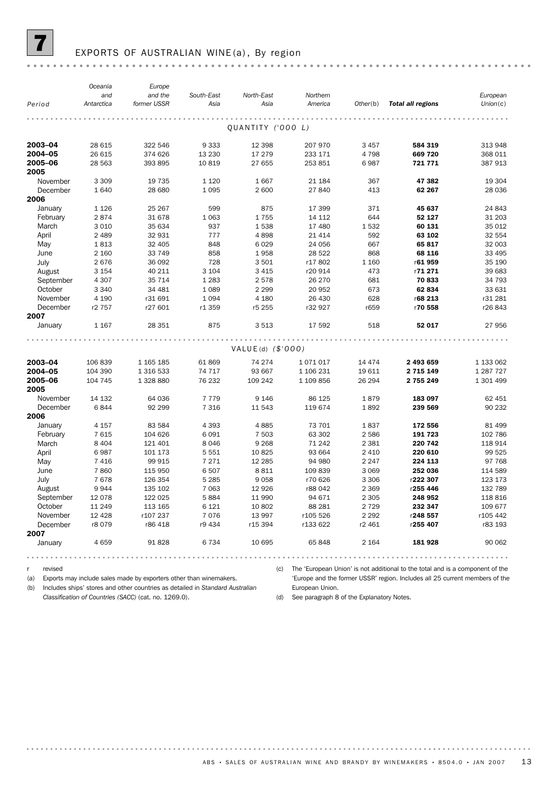

# EXPORTS OF AUSTRALIAN WINE (a), By region

|           | Oceania    | Europe      |            |                     |           |          |                            |            |
|-----------|------------|-------------|------------|---------------------|-----------|----------|----------------------------|------------|
|           | and        | and the     | South-East | North-East          | Northern  |          |                            | European   |
| Period    | Antarctica | former USSR | Asia       | Asia                | America   |          | Other(b) Total all regions | Union(c)   |
|           |            |             |            |                     |           |          |                            |            |
|           |            |             |            | QUANTITY ('000 L)   |           |          |                            |            |
| 2003-04   | 28 615     | 322 546     | 9333       | 12 3 98             | 207 970   | 3 4 5 7  | 584 319                    | 313 948    |
| 2004-05   | 26 615     | 374 626     | 13 2 30    | 17 279              | 233 171   | 4798     | 669 720                    | 368 011    |
| 2005-06   | 28 5 63    | 393 895     | 10819      | 27 655              | 253 851   | 6987     | 721 771                    | 387 913    |
| 2005      |            |             |            |                     |           |          |                            |            |
| November  | 3 3 0 9    | 19 7 35     | 1 1 2 0    | 1667                | 21 184    | 367      | 47 382                     | 19 304     |
| December  | 1640       | 28 680      | 1 0 9 5    | 2 600               | 27 840    | 413      | 62 267                     | 28 0 36    |
| 2006      |            |             |            |                     |           |          |                            |            |
| January   | 1 1 2 6    | 25 267      | 599        | 875                 | 17 399    | 371      | 45 637                     | 24 843     |
| February  | 2874       | 31 678      | 1 0 6 3    | 1755                | 14 112    | 644      | 52 127                     | 31 203     |
| March     | 3 0 1 0    | 35 634      | 937        | 1538                | 17 480    | 1532     | 60 131                     | 35 012     |
| April     | 2 4 8 9    | 32 931      | 777        | 4898                | 21 4 14   | 592      | 63 102                     | 32 554     |
| May       | 1813       | 32 405      | 848        | 6 0 2 9             | 24 056    | 667      | 65 817                     | 32 003     |
| June      | 2 1 6 0    | 33 749      | 858        | 1958                | 28 5 22   | 868      | 68 116                     | 33 4 95    |
| July      | 2676       | 36 092      | 728        | 3 5 0 1             | r17802    | 1 1 6 0  | r61959                     | 35 190     |
| August    | 3 1 5 4    | 40 211      | 3 1 0 4    | 3 4 1 5             | r20 914   | 473      | r71 271                    | 39 683     |
| September | 4 3 0 7    | 35 7 14     | 1 2 8 3    | 2578                | 26 270    | 681      | 70833                      | 34 793     |
| October   | 3 3 4 0    | 34 481      | 1 0 8 9    | 2 2 9 9             | 20 952    | 673      | 62 834                     | 33 631     |
| November  | 4 1 9 0    | r31 691     | 1 0 9 4    | 4 1 8 0             | 26 430    | 628      | r68 213                    | r31 281    |
| December  | r2 757     | r27 601     | r1 359     | r5 255              | r32 927   | r659     | r70 558                    | r26843     |
|           |            |             |            |                     |           |          |                            |            |
| 2007      |            |             |            |                     |           |          |                            |            |
| January   | 1 1 6 7    | 28 351      | 875        | 3 5 1 3             | 17 592    | 518      | 52 017                     | 27 956     |
|           |            |             |            |                     |           |          |                            |            |
|           |            |             |            | $VALUE(d)$ (\$'000) |           |          |                            |            |
| 2003-04   | 106 839    | 1 165 185   | 61869      | 74 274              | 1071017   | 14 4 7 4 | 2 493 659                  | 1 133 062  |
| 2004-05   | 104 390    | 1 316 533   | 74 717     | 93 667              | 1 106 231 | 19611    | 2 715 149                  | 1 287 7 27 |
| 2005-06   | 104 745    | 1 328 880   | 76 232     | 109 242             | 1 109 856 | 26 294   | 2 755 249                  | 1 301 499  |
| 2005      |            |             |            |                     |           |          |                            |            |
| November  | 14 132     | 64 036      | 7 7 7 9    | 9 1 4 6             | 86 125    | 1879     | 183 097                    | 62 451     |
| December  | 6844       | 92 299      | 7 3 1 6    | 11 543              | 119 674   | 1892     | 239 569                    | 90 232     |
| 2006      |            |             |            |                     |           |          |                            |            |
| January   | 4 1 5 7    | 83 5 84     | 4 3 9 3    | 4885                | 73 701    | 1837     | 172 556                    | 81 499     |
| February  | 7 615      | 104 626     | 6 0 9 1    | 7 5 0 3             | 63 302    | 2 5 8 6  | 191 723                    | 102 786    |
| March     | 8 4 0 4    | 121 401     | 8046       | 9 2 6 8             | 71 242    | 2 3 8 1  | 220 742                    | 118 914    |
| April     | 6987       | 101 173     | 5551       | 10825               | 93 664    | 2 4 1 0  | 220 610                    | 99 525     |
| May       | 7416       | 99 915      | 7 2 7 1    | 12 2 85             | 94 980    | 2 2 4 7  | 224 113                    | 97 768     |
| June      | 7860       | 115 950     | 6507       | 8811                | 109839    | 3 0 6 9  | 252 036                    | 114 589    |
| July      | 7678       | 126 354     | 5 2 8 5    | 9058                | r70 626   | 3 3 0 6  | r222 307                   | 123 173    |
| August    | 9944       | 135 102     | 7 0 6 3    | 12 9 26             | r88 042   | 2 3 6 9  | r255 446                   | 132 789    |
| September | 12 0 78    | 122 025     | 5884       | 11 990              | 94 671    | 2 3 0 5  | 248 952                    | 118 816    |
| October   | 11 249     | 113 165     | 6 1 2 1    | 10 802              | 88 28 1   | 2 7 2 9  | 232 347                    | 109 677    |
| November  | 12 4 28    | r107 237    | 7076       | 13 997              | r105 526  | 2 2 9 2  | r248 557                   | r105 442   |
| December  | r8 079     | r86 418     | r9 434     | r15 394             | r133 622  | r2 461   | r255 407                   | r83 193    |
| 2007      |            |             |            |                     |           |          |                            |            |
| January   | 4 6 5 9    | 91828       | 6734       | 10 695              | 65848     | 2 1 6 4  | 181928                     | 90 062     |
|           |            |             |            |                     |           |          |                            |            |
|           |            |             |            |                     |           |          |                            |            |

r revised

(a) Exports may include sales made by exporters other than winemakers.

(b) Includes ships' stores and other countries as detailed in *Standard Australian Classification of Countries (SACC)* (cat. no. 1269.0).

(c) The 'European Union' is not additional to the total and is a component of the 'Europe and the former USSR' region. Includes all 25 current members of the European Union.

(d) See paragraph 8 of the Explanatory Notes.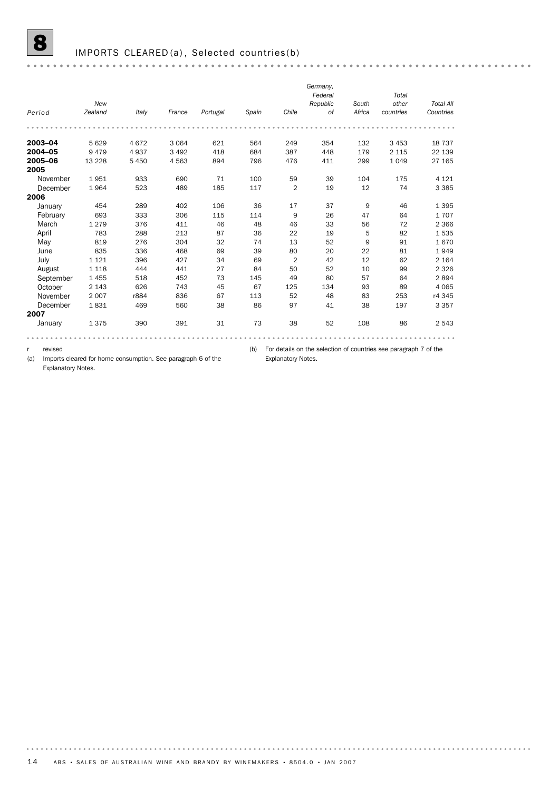|           |         |         |         |          |       |                | Germany,  |        |           |                  |
|-----------|---------|---------|---------|----------|-------|----------------|-----------|--------|-----------|------------------|
|           |         |         |         |          |       |                | Federal   |        | Total     |                  |
|           | New     |         |         |          |       |                | Republic  | South  | other     | <b>Total All</b> |
| Period    | Zealand | Italy   | France  | Portugal | Spain | Chile          | <b>of</b> | Africa | countries | Countries        |
|           |         |         |         |          |       |                |           |        |           |                  |
| 2003-04   | 5629    | 4672    | 3 0 6 4 | 621      | 564   | 249            | 354       | 132    | 3 4 5 3   | 18 7 37          |
| 2004-05   | 9479    | 4937    | 3 4 9 2 | 418      | 684   | 387            | 448       | 179    | 2 1 1 5   | 22 139           |
| 2005-06   | 13 2 28 | 5 4 5 0 | 4563    | 894      | 796   | 476            | 411       | 299    | 1 0 4 9   | 27 165           |
| 2005      |         |         |         |          |       |                |           |        |           |                  |
| November  | 1951    | 933     | 690     | 71       | 100   | 59             | 39        | 104    | 175       | 4 1 2 1          |
| December  | 1964    | 523     | 489     | 185      | 117   | $\overline{2}$ | 19        | 12     | 74        | 3 3 8 5          |
| 2006      |         |         |         |          |       |                |           |        |           |                  |
| January   | 454     | 289     | 402     | 106      | 36    | 17             | 37        | 9      | 46        | 1 3 9 5          |
| February  | 693     | 333     | 306     | 115      | 114   | 9              | 26        | 47     | 64        | 1707             |
| March     | 1 2 7 9 | 376     | 411     | 46       | 48    | 46             | 33        | 56     | 72        | 2 3 6 6          |
| April     | 783     | 288     | 213     | 87       | 36    | 22             | 19        | 5      | 82        | 1535             |
| May       | 819     | 276     | 304     | 32       | 74    | 13             | 52        | 9      | 91        | 1670             |
| June      | 835     | 336     | 468     | 69       | 39    | 80             | 20        | 22     | 81        | 1949             |
| July      | 1 1 2 1 | 396     | 427     | 34       | 69    | $\overline{2}$ | 42        | 12     | 62        | 2 1 6 4          |
| August    | 1 1 1 8 | 444     | 441     | 27       | 84    | 50             | 52        | 10     | 99        | 2 3 2 6          |
| September | 1455    | 518     | 452     | 73       | 145   | 49             | 80        | 57     | 64        | 2894             |
| October   | 2 1 4 3 | 626     | 743     | 45       | 67    | 125            | 134       | 93     | 89        | 4 0 6 5          |
| November  | 2 0 0 7 | r884    | 836     | 67       | 113   | 52             | 48        | 83     | 253       | r4 345           |
| December  | 1831    | 469     | 560     | 38       | 86    | 97             | 41        | 38     | 197       | 3 3 5 7          |
| 2007      |         |         |         |          |       |                |           |        |           |                  |
| January   | 1375    | 390     | 391     | 31       | 73    | 38             | 52        | 108    | 86        | 2 5 4 3          |
|           |         |         |         |          |       |                |           |        |           |                  |

r revised

. . . . . . . . .

(a) Imports cleared for home consumption. See paragraph 6 of the Explanatory Notes.

(b) For details on the selection of countries see paragraph 7 of the Explanatory Notes.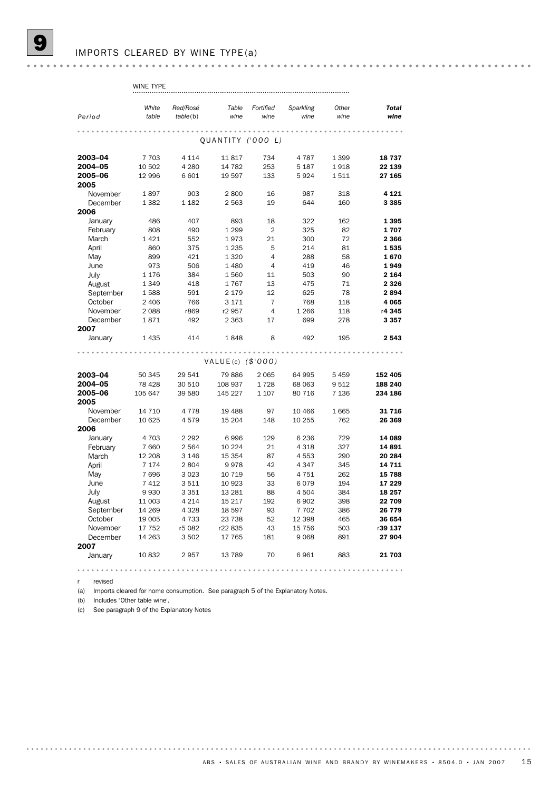## IMPORTS CLEARED BY WINE TYPE (a)

|                   | WINE TYPE          |                    |                      |                |                    |            |                 |
|-------------------|--------------------|--------------------|----------------------|----------------|--------------------|------------|-----------------|
|                   |                    |                    |                      |                |                    |            |                 |
|                   | White              | Red/Rosé           | Table                | Fortified      | Sparkling          | Other      | <b>Total</b>    |
| Period            | table              | table(b)           | wine                 | wine           | wine               | wine       | wine            |
|                   |                    |                    |                      |                |                    |            |                 |
|                   |                    |                    |                      |                |                    |            |                 |
|                   |                    |                    | QUANTITY ('000 L)    |                |                    |            |                 |
| 2003-04           | 7 7 0 3            | 4 1 1 4            | 11817                | 734            | 4 7 8 7            | 1 3 9 9    | 18737           |
| 2004-05           | 10 502             | 4 2 8 0            | 14 782               | 253            | 5 1 8 7            | 1918       | 22 139          |
| 2005-06           | 12 996             | 6 601              | 19 597               | 133            | 5924               | 1511       | 27 165          |
| 2005              |                    |                    |                      |                |                    |            |                 |
| November          | 1897               | 903                | 2800                 | 16             | 987                | 318        | 4 1 2 1         |
| December          | 1 3 8 2            | 1 1 8 2            | 2 5 6 3              | 19             | 644                | 160        | 3 3 8 5         |
| 2006              |                    |                    |                      |                |                    |            |                 |
| January           | 486                | 407                | 893                  | 18             | 322                | 162        | 1395            |
| February          | 808                | 490                | 1 2 9 9              | $\overline{2}$ | 325                | 82         | 1707            |
| March             | 1421               | 552                | 1973                 | 21             | 300                | 72         | 2 3 6 6         |
| April             | 860                | 375                | 1 2 3 5              | 5              | 214                | 81         | 1535            |
| May               | 899                | 421                | 1 3 2 0              | $\overline{4}$ | 288                | 58         | 1670            |
| June              | 973                | 506                | 1 4 8 0              | $\overline{4}$ | 419                | 46         | 1949            |
| July              | 1 1 7 6            | 384                | 1560                 | 11             | 503                | 90         | 2 1 6 4         |
| August            | 1 3 4 9            | 418                | 1767                 | 13             | 475                | 71         | 2 3 2 6         |
| September         | 1588               | 591                | 2 1 7 9              | 12             | 625                | 78         | 2894            |
| October           | 2 4 0 6            | 766                | 3 1 7 1              | $\overline{7}$ | 768                | 118        | 4 0 65          |
| November          | 2088               | r869               | r2 957               | $\overline{4}$ | 1 2 6 6            | 118        | r4 345          |
| December          | 1871               | 492                | 2 3 6 3              | 17             | 699                | 278        | 3 3 5 7         |
| 2007              |                    |                    |                      |                |                    |            |                 |
| January           | 1 4 3 5            | 414                | 1848                 | 8              | 492                | 195        | 2543            |
|                   |                    |                    |                      |                |                    |            |                 |
|                   |                    |                    | VALUE(c) $($ \$'000) |                |                    |            |                 |
|                   |                    |                    |                      |                |                    |            |                 |
| 2003-04           | 50 345             | 29 541             | 79 886               | 2 0 6 5        | 64 995             | 5 4 5 9    | 152 405         |
| 2004-05           | 78 4 28            | 30 510             | 108 937              | 1728           | 68 063             | 9512       | 188 240         |
| 2005-06           | 105 647            | 39 580             | 145 227              | 1 1 0 7        | 80 716             | 7 1 3 6    | 234 186         |
| 2005              |                    |                    |                      |                |                    |            |                 |
| November          | 14 7 10            | 4 7 7 8            | 19 4 88              | 97             | 10 466             | 1665       | 31716           |
| December          | 10 625             | 4579               | 15 204               | 148            | 10 255             | 762        | 26 369          |
| 2006              |                    |                    |                      |                |                    |            |                 |
| January           | 4 7 0 3<br>7 6 6 0 | 2 2 9 2<br>2 5 6 4 | 6996<br>10 2 24      | 129<br>21      | 6 2 3 6<br>4 3 1 8 | 729<br>327 | 14 089<br>14891 |
| February<br>March | 12 208             | 3 1 4 6            | 15 3 54              | 87             | 4553               | 290        | 20 284          |
| April             | 7 1 7 4            | 2804               | 9978                 | 42             | 4 3 4 7            | 345        | 14 711          |
| May               | 7696               | 3 0 2 3            | 10 7 19              | 56             | 4 7 5 1            | 262        | 15 788          |
| June              | 7412               | 3511               | 10 923               | 33             | 6079               | 194        | 17 229          |
| July              | 9930               | 3 3 5 1            | 13 281               | 88             | 4 5 0 4            | 384        | 18 257          |
| August            | 11 003             | 4 2 1 4            | 15 217               | 192            | 6902               | 398        | 22 709          |
| September         | 14 269             | 4 3 2 8            | 18 597               | 93             | 7 702              | 386        | 26 7 7 9        |
| October           | 19 005             | 4 7 3 3            | 23 738               | 52             | 12 398             | 465        | 36 654          |
| November          | 17 752             | r5 082             | r22835               | 43             | 15 756             | 503        | r39 137         |
| December          | 14 263             | 3502               | 17 765               | 181            | 9068               | 891        | 27 904          |
| 2007              |                    |                    |                      |                |                    |            |                 |
| January           | 10832              | 2957               | 13 7 89              | 70             | 6961               | 883        | 21 703          |
|                   |                    |                    |                      |                |                    |            |                 |
|                   |                    |                    |                      |                |                    |            |                 |

r revised

(a) Imports cleared for home consumption. See paragraph 5 of the Explanatory Notes.

(b) Includes "Other table wine'.

(c) See paragraph 9 of the Explanatory Notes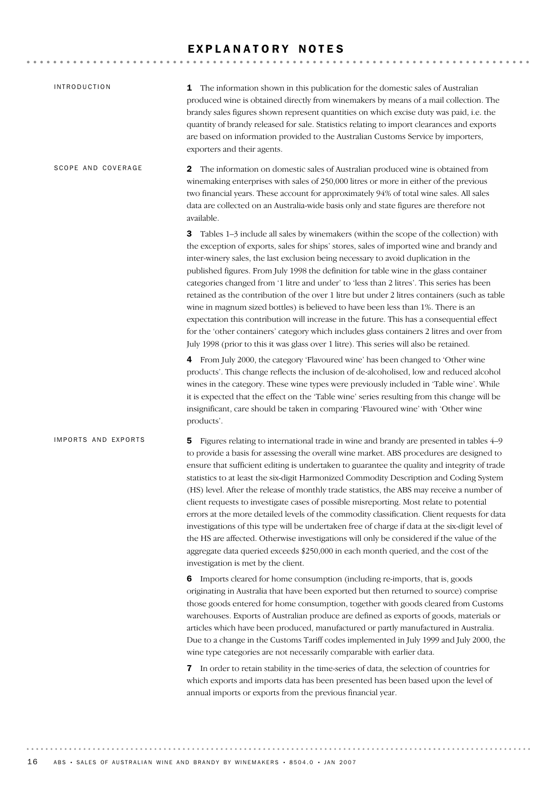# EXPLANATORY NOTES

| <b>INTRODUCTION</b> | 1 The information shown in this publication for the domestic sales of Australian<br>produced wine is obtained directly from winemakers by means of a mail collection. The<br>brandy sales figures shown represent quantities on which excise duty was paid, i.e. the<br>quantity of brandy released for sale. Statistics relating to import clearances and exports<br>are based on information provided to the Australian Customs Service by importers,<br>exporters and their agents.                                                                                                                                                                                                                                                                                                                                                                                                                                                                                                                     |
|---------------------|------------------------------------------------------------------------------------------------------------------------------------------------------------------------------------------------------------------------------------------------------------------------------------------------------------------------------------------------------------------------------------------------------------------------------------------------------------------------------------------------------------------------------------------------------------------------------------------------------------------------------------------------------------------------------------------------------------------------------------------------------------------------------------------------------------------------------------------------------------------------------------------------------------------------------------------------------------------------------------------------------------|
| SCOPE AND COVERAGE  | $\mathbf 2$<br>The information on domestic sales of Australian produced wine is obtained from<br>winemaking enterprises with sales of 250,000 litres or more in either of the previous<br>two financial years. These account for approximately 94% of total wine sales. All sales<br>data are collected on an Australia-wide basis only and state figures are therefore not<br>available.                                                                                                                                                                                                                                                                                                                                                                                                                                                                                                                                                                                                                  |
|                     | 3<br>Tables 1-3 include all sales by winemakers (within the scope of the collection) with<br>the exception of exports, sales for ships' stores, sales of imported wine and brandy and<br>inter-winery sales, the last exclusion being necessary to avoid duplication in the<br>published figures. From July 1998 the definition for table wine in the glass container<br>categories changed from '1 litre and under' to 'less than 2 litres'. This series has been<br>retained as the contribution of the over 1 litre but under 2 litres containers (such as table<br>wine in magnum sized bottles) is believed to have been less than 1%. There is an<br>expectation this contribution will increase in the future. This has a consequential effect<br>for the 'other containers' category which includes glass containers 2 litres and over from<br>July 1998 (prior to this it was glass over 1 litre). This series will also be retained.                                                             |
|                     | 4 From July 2000, the category 'Flavoured wine' has been changed to 'Other wine<br>products'. This change reflects the inclusion of de-alcoholised, low and reduced alcohol<br>wines in the category. These wine types were previously included in 'Table wine'. While<br>it is expected that the effect on the 'Table wine' series resulting from this change will be<br>insignificant, care should be taken in comparing 'Flavoured wine' with 'Other wine<br>products'.                                                                                                                                                                                                                                                                                                                                                                                                                                                                                                                                 |
| IMPORTS AND EXPORTS | Figures relating to international trade in wine and brandy are presented in tables 4–9<br>5.<br>to provide a basis for assessing the overall wine market. ABS procedures are designed to<br>ensure that sufficient editing is undertaken to guarantee the quality and integrity of trade<br>statistics to at least the six-digit Harmonized Commodity Description and Coding System<br>(HS) level. After the release of monthly trade statistics, the ABS may receive a number of<br>client requests to investigate cases of possible misreporting. Most relate to potential<br>errors at the more detailed levels of the commodity classification. Client requests for data<br>investigations of this type will be undertaken free of charge if data at the six-digit level of<br>the HS are affected. Otherwise investigations will only be considered if the value of the<br>aggregate data queried exceeds \$250,000 in each month queried, and the cost of the<br>investigation is met by the client. |
|                     | 6 Imports cleared for home consumption (including re-imports, that is, goods<br>originating in Australia that have been exported but then returned to source) comprise<br>those goods entered for home consumption, together with goods cleared from Customs<br>warehouses. Exports of Australian produce are defined as exports of goods, materials or<br>articles which have been produced, manufactured or partly manufactured in Australia.<br>Due to a change in the Customs Tariff codes implemented in July 1999 and July 2000, the<br>wine type categories are not necessarily comparable with earlier data.                                                                                                                                                                                                                                                                                                                                                                                       |
|                     | 7 In order to retain stability in the time-series of data, the selection of countries for<br>which exports and imports data has been presented has been based upon the level of<br>annual imports or exports from the previous financial year.                                                                                                                                                                                                                                                                                                                                                                                                                                                                                                                                                                                                                                                                                                                                                             |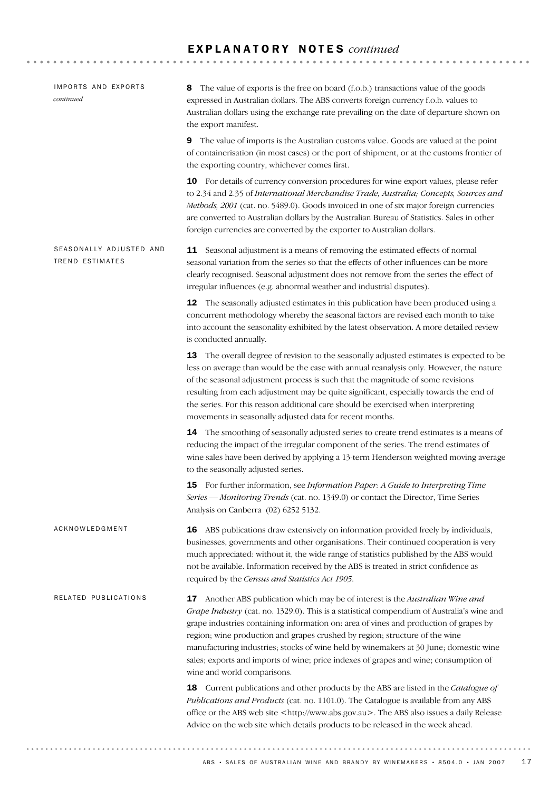# E X P L A N A T O R Y N O T E S *continued*

| IMPORTS AND EXPORTS<br>continued                  | The value of exports is the free on board (f.o.b.) transactions value of the goods<br>8<br>expressed in Australian dollars. The ABS converts foreign currency f.o.b. values to<br>Australian dollars using the exchange rate prevailing on the date of departure shown on<br>the export manifest.                                                                                                                                                                                                                                                                    |
|---------------------------------------------------|----------------------------------------------------------------------------------------------------------------------------------------------------------------------------------------------------------------------------------------------------------------------------------------------------------------------------------------------------------------------------------------------------------------------------------------------------------------------------------------------------------------------------------------------------------------------|
|                                                   | The value of imports is the Australian customs value. Goods are valued at the point<br>9<br>of containerisation (in most cases) or the port of shipment, or at the customs frontier of<br>the exporting country, whichever comes first.                                                                                                                                                                                                                                                                                                                              |
|                                                   | 10 For details of currency conversion procedures for wine export values, please refer<br>to 2.34 and 2.35 of International Merchandise Trade, Australia; Concepts, Sources and<br>Methods, 2001 (cat. no. 5489.0). Goods invoiced in one of six major foreign currencies<br>are converted to Australian dollars by the Australian Bureau of Statistics. Sales in other<br>foreign currencies are converted by the exporter to Australian dollars.                                                                                                                    |
| SEASONALLY ADJUSTED AND<br><b>TREND ESTIMATES</b> | <b>11</b> Seasonal adjustment is a means of removing the estimated effects of normal<br>seasonal variation from the series so that the effects of other influences can be more<br>clearly recognised. Seasonal adjustment does not remove from the series the effect of<br>irregular influences (e.g. abnormal weather and industrial disputes).                                                                                                                                                                                                                     |
|                                                   | <b>12</b> The seasonally adjusted estimates in this publication have been produced using a<br>concurrent methodology whereby the seasonal factors are revised each month to take<br>into account the seasonality exhibited by the latest observation. A more detailed review<br>is conducted annually.                                                                                                                                                                                                                                                               |
|                                                   | 13 The overall degree of revision to the seasonally adjusted estimates is expected to be<br>less on average than would be the case with annual reanalysis only. However, the nature<br>of the seasonal adjustment process is such that the magnitude of some revisions<br>resulting from each adjustment may be quite significant, especially towards the end of<br>the series. For this reason additional care should be exercised when interpreting<br>movements in seasonally adjusted data for recent months.                                                    |
|                                                   | 14 The smoothing of seasonally adjusted series to create trend estimates is a means of<br>reducing the impact of the irregular component of the series. The trend estimates of<br>wine sales have been derived by applying a 13-term Henderson weighted moving average<br>to the seasonally adjusted series.                                                                                                                                                                                                                                                         |
|                                                   | 15 For further information, see Information Paper: A Guide to Interpreting Time<br>Series — Monitoring Trends (cat. no. 1349.0) or contact the Director, Time Series<br>Analysis on Canberra (02) 6252 5132.                                                                                                                                                                                                                                                                                                                                                         |
| ACKNOWLEDGMENT                                    | <b>16</b> ABS publications draw extensively on information provided freely by individuals,<br>businesses, governments and other organisations. Their continued cooperation is very<br>much appreciated: without it, the wide range of statistics published by the ABS would<br>not be available. Information received by the ABS is treated in strict confidence as<br>required by the Census and Statistics Act 1905.                                                                                                                                               |
| RELATED PUBLICATIONS                              | 17 Another ABS publication which may be of interest is the Australian Wine and<br>Grape Industry (cat. no. 1329.0). This is a statistical compendium of Australia's wine and<br>grape industries containing information on: area of vines and production of grapes by<br>region; wine production and grapes crushed by region; structure of the wine<br>manufacturing industries; stocks of wine held by winemakers at 30 June; domestic wine<br>sales; exports and imports of wine; price indexes of grapes and wine; consumption of<br>wine and world comparisons. |
|                                                   | 18 Current publications and other products by the ABS are listed in the Catalogue of<br>Publications and Products (cat. no. 1101.0). The Catalogue is available from any ABS<br>office or the ABS web site <http: www.abs.gov.au="">. The ABS also issues a daily Release<br/>Advice on the web site which details products to be released in the week ahead.</http:>                                                                                                                                                                                                |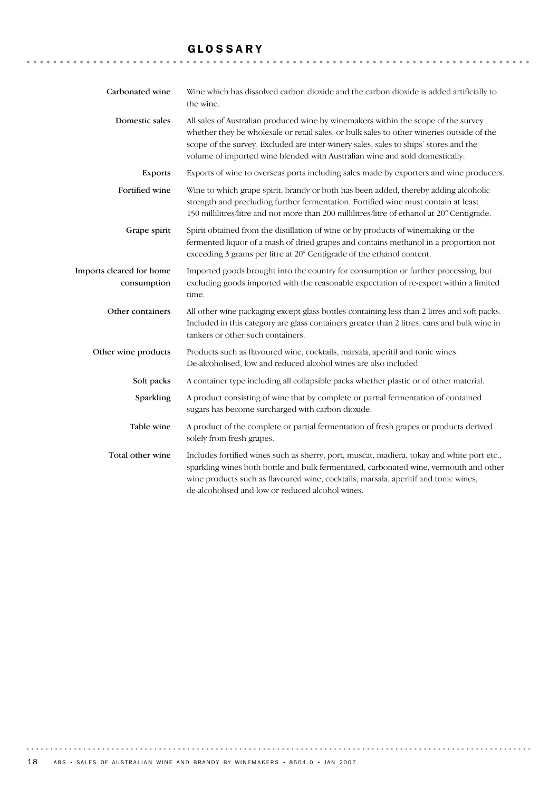# GLOSSARY

| Carbonated wine                         | Wine which has dissolved carbon dioxide and the carbon dioxide is added artificially to<br>the wine.                                                                                                                                                                                                                                                   |
|-----------------------------------------|--------------------------------------------------------------------------------------------------------------------------------------------------------------------------------------------------------------------------------------------------------------------------------------------------------------------------------------------------------|
| Domestic sales                          | All sales of Australian produced wine by winemakers within the scope of the survey<br>whether they be wholesale or retail sales, or bulk sales to other wineries outside of the<br>scope of the survey. Excluded are inter-winery sales, sales to ships' stores and the<br>volume of imported wine blended with Australian wine and sold domestically. |
| <b>Exports</b>                          | Exports of wine to overseas ports including sales made by exporters and wine producers.                                                                                                                                                                                                                                                                |
| Fortified wine                          | Wine to which grape spirit, brandy or both has been added, thereby adding alcoholic<br>strength and precluding further fermentation. Fortified wine must contain at least<br>150 millilitres/litre and not more than 200 millilitres/litre of ethanol at 20° Centigrade.                                                                               |
| Grape spirit                            | Spirit obtained from the distillation of wine or by-products of winemaking or the<br>fermented liquor of a mash of dried grapes and contains methanol in a proportion not<br>exceeding 3 grams per litre at 20° Centigrade of the ethanol content.                                                                                                     |
| Imports cleared for home<br>consumption | Imported goods brought into the country for consumption or further processing, but<br>excluding goods imported with the reasonable expectation of re-export within a limited<br>time.                                                                                                                                                                  |
| Other containers                        | All other wine packaging except glass bottles containing less than 2 litres and soft packs.<br>Included in this category are glass containers greater than 2 litres, cans and bulk wine in<br>tankers or other such containers.                                                                                                                        |
| Other wine products                     | Products such as flavoured wine, cocktails, marsala, aperitif and tonic wines.<br>De-alcoholised, low and reduced alcohol wines are also included.                                                                                                                                                                                                     |
| Soft packs                              | A container type including all collapsible packs whether plastic or of other material.                                                                                                                                                                                                                                                                 |
| Sparkling                               | A product consisting of wine that by complete or partial fermentation of contained<br>sugars has become surcharged with carbon dioxide.                                                                                                                                                                                                                |
| Table wine                              | A product of the complete or partial fermentation of fresh grapes or products derived<br>solely from fresh grapes.                                                                                                                                                                                                                                     |
| Total other wine                        | Includes fortified wines such as sherry, port, muscat, madiera, tokay and white port etc.,<br>sparkling wines both bottle and bulk fermentated, carbonated wine, vermouth and other<br>wine products such as flavoured wine, cocktails, marsala, aperitif and tonic wines,<br>de-alcoholised and low or reduced alcohol wines.                         |